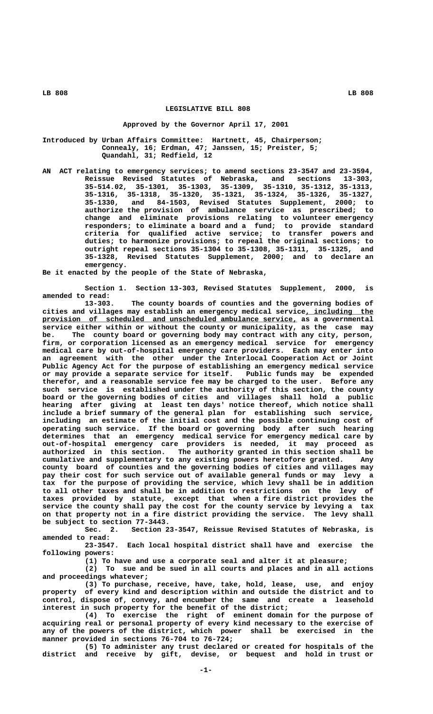## **LEGISLATIVE BILL 808**

## **Approved by the Governor April 17, 2001**

**Introduced by Urban Affairs Committee: Hartnett, 45, Chairperson; Connealy, 16; Erdman, 47; Janssen, 15; Preister, 5; Quandahl, 31; Redfield, 12**

**AN ACT relating to emergency services; to amend sections 23-3547 and 23-3594, Reissue Revised Statutes of Nebraska, and sections 13-303, 35-514.02, 35-1301, 35-1303, 35-1309, 35-1310, 35-1312, 35-1313, 35-1316, 35-1318, 35-1320, 35-1321, 35-1324, 35-1326, 35-1327, 35-1330, and 84-1503, Revised Statutes Supplement, 2000; to authorize the provision of ambulance service as prescribed; to change and eliminate provisions relating to volunteer emergency responders; to eliminate a board and a fund; to provide standard criteria for qualified active service; to transfer powers and duties; to harmonize provisions; to repeal the original sections; to outright repeal sections 35-1304 to 35-1308, 35-1311, 35-1325, and 35-1328, Revised Statutes Supplement, 2000; and to declare an emergency.**

**Be it enacted by the people of the State of Nebraska,**

**Section 1. Section 13-303, Revised Statutes Supplement, 2000, is amended to read:**

**13-303. The county boards of counties and the governing bodies of** cities and villages may establish an emergency medical service, including the  $provision$  of scheduled and unscheduled ambulance service, as a governmental **service either within or without the county or municipality, as the case may be. The county board or governing body may contract with any city, person, firm, or corporation licensed as an emergency medical service for emergency medical care by out-of-hospital emergency care providers. Each may enter into an agreement with the other under the Interlocal Cooperation Act or Joint Public Agency Act for the purpose of establishing an emergency medical service or may provide a separate service for itself. Public funds may be expended therefor, and a reasonable service fee may be charged to the user. Before any such service is established under the authority of this section, the county board or the governing bodies of cities and villages shall hold a public hearing after giving at least ten days' notice thereof, which notice shall include a brief summary of the general plan for establishing such service, including an estimate of the initial cost and the possible continuing cost of operating such service. If the board or governing body after such hearing determines that an emergency medical service for emergency medical care by out-of-hospital emergency care providers is needed, it may proceed as authorized in this section. The authority granted in this section shall be cumulative and supplementary to any existing powers heretofore granted. Any county board of counties and the governing bodies of cities and villages may pay their cost for such service out of available general funds or may levy a tax for the purpose of providing the service, which levy shall be in addition to all other taxes and shall be in addition to restrictions on the levy of taxes provided by statute, except that when a fire district provides the service the county shall pay the cost for the county service by levying a tax on that property not in a fire district providing the service. The levy shall be subject to section 77-3443.**

**Sec. 2. Section 23-3547, Reissue Revised Statutes of Nebraska, is amended to read:**

**23-3547. Each local hospital district shall have and exercise the following powers:**

**(1) To have and use a corporate seal and alter it at pleasure;**

**(2) To sue and be sued in all courts and places and in all actions and proceedings whatever;**

**(3) To purchase, receive, have, take, hold, lease, use, and enjoy property of every kind and description within and outside the district and to control, dispose of, convey, and encumber the same and create a leasehold interest in such property for the benefit of the district;**

**(4) To exercise the right of eminent domain for the purpose of acquiring real or personal property of every kind necessary to the exercise of any of the powers of the district, which power shall be exercised in the manner provided in sections 76-704 to 76-724;**

**(5) To administer any trust declared or created for hospitals of the district and receive by gift, devise, or bequest and hold in trust or**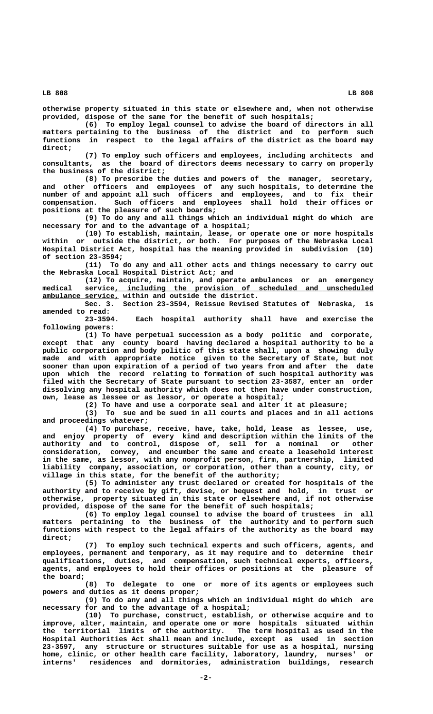**otherwise property situated in this state or elsewhere and, when not otherwise provided, dispose of the same for the benefit of such hospitals;**

**(6) To employ legal counsel to advise the board of directors in all matters pertaining to the business of the district and to perform such functions in respect to the legal affairs of the district as the board may direct;**

**(7) To employ such officers and employees, including architects and consultants, as the board of directors deems necessary to carry on properly the business of the district;**

**(8) To prescribe the duties and powers of the manager, secretary, and other officers and employees of any such hospitals, to determine the number of and appoint all such officers and employees, and to fix their compensation. Such officers and employees shall hold their offices or positions at the pleasure of such boards;**

**(9) To do any and all things which an individual might do which are necessary for and to the advantage of a hospital;**

**(10) To establish, maintain, lease, or operate one or more hospitals within or outside the district, or both. For purposes of the Nebraska Local Hospital District Act, hospital has the meaning provided in subdivision (10) of section 23-3594;**

**(11) To do any and all other acts and things necessary to carry out the Nebraska Local Hospital District Act; and**

**(12) To acquire, maintain, and operate ambulances or an emergency**  $median$  service, including the provision of scheduled and unscheduled  **\_\_\_\_\_\_\_\_\_\_\_\_\_\_\_\_\_\_ ambulance service, within and outside the district.**

**Sec. 3. Section 23-3594, Reissue Revised Statutes of Nebraska, is amended to read:**

Each hospital authority shall have and exercise the  **following powers:**

**(1) To have perpetual succession as a body politic and corporate, except that any county board having declared a hospital authority to be a public corporation and body politic of this state shall, upon a showing duly made and with appropriate notice given to the Secretary of State, but not sooner than upon expiration of a period of two years from and after the date upon which the record relating to formation of such hospital authority was filed with the Secretary of State pursuant to section 23-3587, enter an order dissolving any hospital authority which does not then have under construction, own, lease as lessee or as lessor, or operate a hospital;**

**(2) To have and use a corporate seal and alter it at pleasure;**

**(3) To sue and be sued in all courts and places and in all actions and proceedings whatever;**

**(4) To purchase, receive, have, take, hold, lease as lessee, use, and enjoy property of every kind and description within the limits of the authority and to control, dispose of, sell for a nominal or other consideration, convey, and encumber the same and create a leasehold interest in the same, as lessor, with any nonprofit person, firm, partnership, limited liability company, association, or corporation, other than a county, city, or village in this state, for the benefit of the authority;**

**(5) To administer any trust declared or created for hospitals of the authority and to receive by gift, devise, or bequest and hold, in trust or otherwise, property situated in this state or elsewhere and, if not otherwise provided, dispose of the same for the benefit of such hospitals;**

**(6) To employ legal counsel to advise the board of trustees in all matters pertaining to the business of the authority and to perform such functions with respect to the legal affairs of the authority as the board may direct;**

**(7) To employ such technical experts and such officers, agents, and employees, permanent and temporary, as it may require and to determine their qualifications, duties, and compensation, such technical experts, officers, agents, and employees to hold their offices or positions at the pleasure of the board;**

**(8) To delegate to one or more of its agents or employees such powers and duties as it deems proper;**

**(9) To do any and all things which an individual might do which are necessary for and to the advantage of a hospital;**

**(10) To purchase, construct, establish, or otherwise acquire and to improve, alter, maintain, and operate one or more hospitals situated within the territorial limits of the authority. The term hospital as used in the Hospital Authorities Act shall mean and include, except as used in section 23-3597, any structure or structures suitable for use as a hospital, nursing home, clinic, or other health care facility, laboratory, laundry, nurses' or interns' residences and dormitories, administration buildings, research**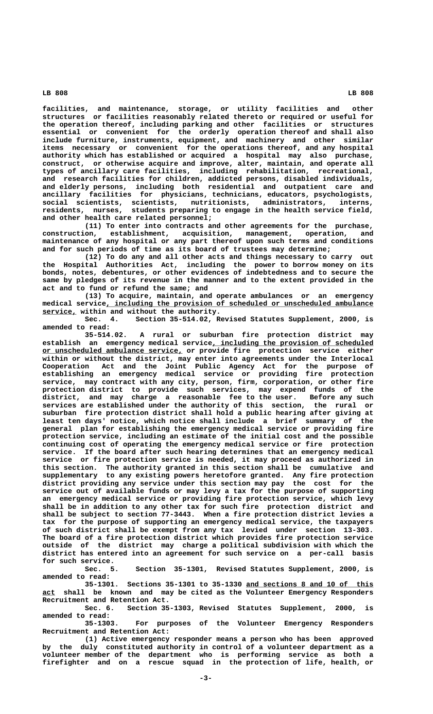**facilities, and maintenance, storage, or utility facilities and other structures or facilities reasonably related thereto or required or useful for the operation thereof, including parking and other facilities or structures essential or convenient for the orderly operation thereof and shall also include furniture, instruments, equipment, and machinery and other similar items necessary or convenient for the operations thereof, and any hospital authority which has established or acquired a hospital may also purchase, construct, or otherwise acquire and improve, alter, maintain, and operate all types of ancillary care facilities, including rehabilitation, recreational, and research facilities for children, addicted persons, disabled individuals, and elderly persons, including both residential and outpatient care and ancillary facilities for physicians, technicians, educators, psychologists, social scientists, scientists, nutritionists, administrators, interns, residents, nurses, students preparing to engage in the health service field, and other health care related personnel;**

**(11) To enter into contracts and other agreements for the purchase, construction, establishment, acquisition, management, operation, and maintenance of any hospital or any part thereof upon such terms and conditions and for such periods of time as its board of trustees may determine;**

**(12) To do any and all other acts and things necessary to carry out the Hospital Authorities Act, including the power to borrow money on its bonds, notes, debentures, or other evidences of indebtedness and to secure the same by pledges of its revenue in the manner and to the extent provided in the act and to fund or refund the same; and**

**(13) To acquire, maintain, and operate ambulances or an emergency**  $m$ edical service, including the provision of scheduled or unscheduled ambulance  **\_\_\_\_\_\_\_\_ service, within and without the authority.**

**Sec. 4. Section 35-514.02, Revised Statutes Supplement, 2000, is amended to read:**

**35-514.02. A rural or suburban fire protection district may \_\_\_\_\_\_\_\_\_\_\_\_\_\_\_\_\_\_\_\_\_\_\_\_\_\_\_\_\_\_\_\_\_\_\_\_\_\_ establish an emergency medical service, including the provision of scheduled \_\_\_\_\_\_\_\_\_\_\_\_\_\_\_\_\_\_\_\_\_\_\_\_\_\_\_\_\_\_\_\_\_ or unscheduled ambulance service, or provide fire protection service either within or without the district, may enter into agreements under the Interlocal Cooperation Act and the Joint Public Agency Act for the purpose of establishing an emergency medical service or providing fire protection service, may contract with any city, person, firm, corporation, or other fire protection district to provide such services, may expend funds of the district, and may charge a reasonable fee to the user. Before any such services are established under the authority of this section, the rural or suburban fire protection district shall hold a public hearing after giving at least ten days' notice, which notice shall include a brief summary of the general plan for establishing the emergency medical service or providing fire protection service, including an estimate of the initial cost and the possible continuing cost of operating the emergency medical service or fire protection service. If the board after such hearing determines that an emergency medical service or fire protection service is needed, it may proceed as authorized in this section. The authority granted in this section shall be cumulative and supplementary to any existing powers heretofore granted. Any fire protection district providing any service under this section may pay the cost for the service out of available funds or may levy a tax for the purpose of supporting an emergency medical service or providing fire protection service, which levy shall be in addition to any other tax for such fire protection district and shall be subject to section 77-3443. When a fire protection district levies a tax for the purpose of supporting an emergency medical service, the taxpayers of such district shall be exempt from any tax levied under section 13-303. The board of a fire protection district which provides fire protection service outside of the district may charge a political subdivision with which the district has entered into an agreement for such service on a per-call basis for such service.**

**Sec. 5. Section 35-1301, Revised Statutes Supplement, 2000, is amended to read:**

**35-1301. Sections 35-1301 to 35-1330 and sections 8 and 10 of this \_\_\_\_\_\_\_\_\_\_\_\_\_\_\_\_\_\_\_\_\_\_\_\_\_\_\_\_\_\_ \_\_\_ act shall be known and may be cited as the Volunteer Emergency Responders Recruitment and Retention Act.**

**Sec. 6. Section 35-1303, Revised Statutes Supplement, 2000, is amended to read:**

**35-1303. For purposes of the Volunteer Emergency Responders Recruitment and Retention Act:**

**(1) Active emergency responder means a person who has been approved by the duly constituted authority in control of a volunteer department as a volunteer member of the department who is performing service as both a firefighter and on a rescue squad in the protection of life, health, or**

 **LB 808 LB 808**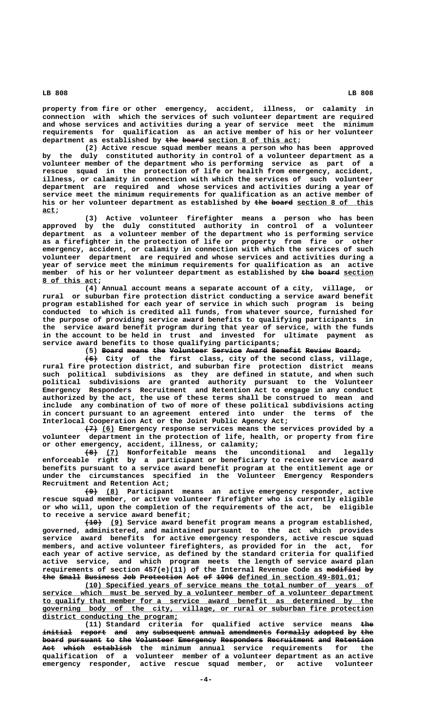**property from fire or other emergency, accident, illness, or calamity in connection with which the services of such volunteer department are required and whose services and activities during a year of service meet the minimum requirements for qualification as an active member of his or her volunteer** department as established by the board section 8 of this act;

**(2) Active rescue squad member means a person who has been approved by the duly constituted authority in control of a volunteer department as a volunteer member of the department who is performing service as part of a rescue squad in the protection of life or health from emergency, accident, illness, or calamity in connection with which the services of such volunteer department are required and whose services and activities during a year of service meet the minimum requirements for qualification as an active member of** his or her volunteer department as established by the board section 8 of this  **act; \_\_\_**

**(3) Active volunteer firefighter means a person who has been approved by the duly constituted authority in control of a volunteer department as a volunteer member of the department who is performing service as a firefighter in the protection of life or property from fire or other emergency, accident, or calamity in connection with which the services of such volunteer department are required and whose services and activities during a year of service meet the minimum requirements for qualification as an active** member of his or her volunteer department as established by the board section  **\_\_\_\_\_\_\_\_\_\_\_\_\_ 8 of this act;**

**(4) Annual account means a separate account of a city, village, or rural or suburban fire protection district conducting a service award benefit program established for each year of service in which such program is being conducted to which is credited all funds, from whatever source, furnished for the purpose of providing service award benefits to qualifying participants in the service award benefit program during that year of service, with the funds in the account to be held in trust and invested for ultimate payment as service award benefits to those qualifying participants;**

(5) Board means the Volunteer Service Award Benefit Review Board;

 **——— (6) City of the first class, city of the second class, village, rural fire protection district, and suburban fire protection district means such political subdivisions as they are defined in statute, and when such political subdivisions are granted authority pursuant to the Volunteer Emergency Responders Recruitment and Retention Act to engage in any conduct authorized by the act, the use of these terms shall be construed to mean and include any combination of two of more of these political subdivisions acting in concert pursuant to an agreement entered into under the terms of the Interlocal Cooperation Act or the Joint Public Agency Act;**

 **——— \_\_\_ (7) (6) Emergency response services means the services provided by a volunteer department in the protection of life, health, or property from fire or other emergency, accident, illness, or calamity;**

 **——— \_\_\_ (8) (7) Nonforfeitable means the unconditional and legally enforceable right by a participant or beneficiary to receive service award benefits pursuant to a service award benefit program at the entitlement age or under the circumstances specified in the Volunteer Emergency Responders Recruitment and Retention Act;**

> **——— \_\_\_ (9) (8) Participant means an active emergency responder, active rescue squad member, or active volunteer firefighter who is currently eligible or who will, upon the completion of the requirements of the act, be eligible to receive a service award benefit;**

> **———— \_\_\_ (10) (9) Service award benefit program means a program established, governed, administered, and maintained pursuant to the act which provides service award benefits for active emergency responders, active rescue squad members, and active volunteer firefighters, as provided for in the act, for each year of active service, as defined by the standard criteria for qualified active service, and which program meets the length of service award plan** requirements of section 457(e)(11) of the Internal Revenue Code as modified by the Small Business Job Protection Act of 1996 defined in section 49-801.01;

> **\_\_\_\_\_\_\_\_\_\_\_\_\_\_\_\_\_\_\_\_\_\_\_\_\_\_\_\_\_\_\_\_\_\_\_\_\_\_\_\_\_\_\_\_\_\_\_\_\_\_\_\_\_\_\_\_\_\_\_\_\_\_\_\_\_\_\_\_ (10) Specified years of service means the total number of years of \_\_\_\_\_\_\_\_\_\_\_\_\_\_\_\_\_\_\_\_\_\_\_\_\_\_\_\_\_\_\_\_\_\_\_\_\_\_\_\_\_\_\_\_\_\_\_\_\_\_\_\_\_\_\_\_\_\_\_\_\_\_\_\_\_\_\_\_\_\_\_\_\_\_\_\_\_\_ service which must be served by a volunteer member of a volunteer department \_\_\_\_\_\_\_\_\_\_\_\_\_\_\_\_\_\_\_\_\_\_\_\_\_\_\_\_\_\_\_\_\_\_\_\_\_\_\_\_\_\_\_\_\_\_\_\_\_\_\_\_\_\_\_\_\_\_\_\_\_\_\_\_\_\_\_\_\_\_\_\_\_\_\_\_\_\_ to qualify that member for a service award benefit as determined by the \_\_\_\_\_\_\_\_\_\_\_\_\_\_\_\_\_\_\_\_\_\_\_\_\_\_\_\_\_\_\_\_\_\_\_\_\_\_\_\_\_\_\_\_\_\_\_\_\_\_\_\_\_\_\_\_\_\_\_\_\_\_\_\_\_\_\_\_\_\_\_\_\_\_\_\_\_\_ governing body of the city, village, or rural or suburban fire protection \_\_\_\_\_\_\_\_\_\_\_\_\_\_\_\_\_\_\_\_\_\_\_\_\_\_\_\_\_\_\_\_ district conducting the program;**

> (11) Standard criteria for qualified active service means the initial report and any subsequent annual amendments formally adopted by the board pursuant to the Volunteer Emergency Responders Recruitment and Retention Act which establish the minimum annual service requirements for the **qualification of a volunteer member of a volunteer department as an active emergency responder, active rescue squad member, or active volunteer**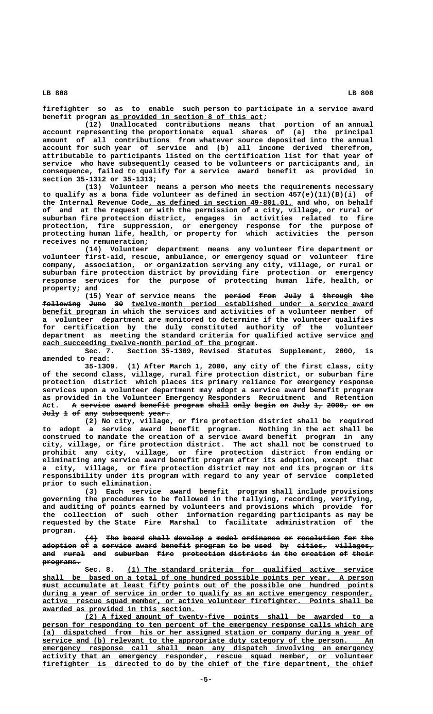**firefighter so as to enable such person to participate in a service award** benefit program as provided in section 8 of this act;

**(12) Unallocated contributions means that portion of an annual account representing the proportionate equal shares of (a) the principal amount of all contributions from whatever source deposited into the annual account for such year of service and (b) all income derived therefrom, attributable to participants listed on the certification list for that year of service who have subsequently ceased to be volunteers or participants and, in consequence, failed to qualify for a service award benefit as provided in section 35-1312 or 35-1313;**

**(13) Volunteer means a person who meets the requirements necessary to qualify as a bona fide volunteer as defined in section 457(e)(11)(B)(i) of** the Internal Revenue Code, as defined in section 49-801.01, and who, on behalf **of and at the request or with the permission of a city, village, or rural or suburban fire protection district, engages in activities related to fire protection, fire suppression, or emergency response for the purpose of protecting human life, health, or property for which activities the person receives no remuneration;**

**(14) Volunteer department means any volunteer fire department or volunteer first-aid, rescue, ambulance, or emergency squad or volunteer fire company, association, or organization serving any city, village, or rural or suburban fire protection district by providing fire protection or emergency response services for the purpose of protecting human life, health, or property; and**

(15) Year of service means the <del>period from</del> July 1 through the **following June 30 twelve-month period established under a service award ————————— ———— —— \_\_\_\_\_\_\_\_\_\_\_\_\_\_\_\_\_\_\_\_\_\_\_\_\_\_\_\_\_\_\_\_\_\_\_\_\_\_\_\_\_\_\_\_\_\_\_\_\_\_\_\_\_\_\_\_\_ \_\_\_\_\_\_\_\_\_\_\_\_\_\_\_ benefit program in which the services and activities of a volunteer member of a volunteer department are monitored to determine if the volunteer qualifies for certification by the duly constituted authority of the volunteer department as meeting the standard criteria for qualified active service and \_\_\_ each succeeding twelve-month period of the program.**<br>Sec. 7. Section 35-1309, Revised Statu

Section 35-1309, Revised Statutes Supplement, 2000, is **amended to read:**

**35-1309. (1) After March 1, 2000, any city of the first class, city of the second class, village, rural fire protection district, or suburban fire protection district which places its primary reliance for emergency response services upon a volunteer department may adopt a service award benefit program as provided in the Volunteer Emergency Responders Recruitment and Retention** Act. A service award benefit program shall only begin on July 1, 2000, or on July 1 of any subsequent year.

**(2) No city, village, or fire protection district shall be required to adopt a service award benefit program. Nothing in the act shall be construed to mandate the creation of a service award benefit program in any city, village, or fire protection district. The act shall not be construed to prohibit any city, village, or fire protection district from ending or eliminating any service award benefit program after its adoption, except that a city, village, or fire protection district may not end its program or its responsibility under its program with regard to any year of service completed prior to such elimination.**

**(3) Each service award benefit program shall include provisions governing the procedures to be followed in the tallying, recording, verifying, and auditing of points earned by volunteers and provisions which provide for the collection of such other information regarding participants as may be requested by the State Fire Marshal to facilitate administration of the program.**

 $(4)$  The board shall develop a model ordinance or resolution for the adoption of a service award benefit program to be used by cities, villages, and rural and suburban fire protection districts in the creation of their  **programs. —————————**

 **\_\_\_\_\_\_\_\_\_\_\_\_\_\_\_\_\_\_\_\_\_\_\_\_\_\_\_\_\_\_\_\_\_\_\_\_\_\_\_\_\_\_\_\_\_\_\_\_\_\_\_\_\_\_\_\_\_\_ Sec. 8. (1) The standard criteria for qualified active service \_\_\_\_\_\_\_\_\_\_\_\_\_\_\_\_\_\_\_\_\_\_\_\_\_\_\_\_\_\_\_\_\_\_\_\_\_\_\_\_\_\_\_\_\_\_\_\_\_\_\_\_\_\_\_\_\_\_\_\_\_\_\_\_\_\_\_\_\_\_\_\_\_\_\_\_\_\_ shall be based on a total of one hundred possible points per year. A person \_\_\_\_\_\_\_\_\_\_\_\_\_\_\_\_\_\_\_\_\_\_\_\_\_\_\_\_\_\_\_\_\_\_\_\_\_\_\_\_\_\_\_\_\_\_\_\_\_\_\_\_\_\_\_\_\_\_\_\_\_\_\_\_\_\_\_\_\_\_\_\_\_\_\_\_\_\_ must accumulate at least fifty points out of the possible one hundred points**  $\frac{during}{d}$  a year of service in order to qualify as an active emergency responder,  **\_\_\_\_\_\_\_\_\_\_\_\_\_\_\_\_\_\_\_\_\_\_\_\_\_\_\_\_\_\_\_\_\_\_\_\_\_\_\_\_\_\_\_\_\_\_\_\_\_\_\_\_\_\_\_\_\_\_\_\_\_\_\_\_\_\_\_\_\_\_\_\_\_\_\_\_\_\_ active rescue squad member, or active volunteer firefighter. Points shall be \_\_\_\_\_\_\_\_\_\_\_\_\_\_\_\_\_\_\_\_\_\_\_\_\_\_\_\_\_\_\_\_\_\_\_\_ awarded as provided in this section.**

 **\_\_\_\_\_\_\_\_\_\_\_\_\_\_\_\_\_\_\_\_\_\_\_\_\_\_\_\_\_\_\_\_\_\_\_\_\_\_\_\_\_\_\_\_\_\_\_\_\_\_\_\_\_\_\_\_\_\_\_\_\_\_\_\_\_\_\_\_ (2) A fixed amount of twenty-five points shall be awarded to a** person for responding to ten percent of the emergency response calls which are  **\_\_\_\_\_\_\_\_\_\_\_\_\_\_\_\_\_\_\_\_\_\_\_\_\_\_\_\_\_\_\_\_\_\_\_\_\_\_\_\_\_\_\_\_\_\_\_\_\_\_\_\_\_\_\_\_\_\_\_\_\_\_\_\_\_\_\_\_\_\_\_\_\_\_\_\_\_\_ (a) dispatched from his or her assigned station or company during a year of \_\_\_\_\_\_\_\_\_\_\_\_\_\_\_\_\_\_\_\_\_\_\_\_\_\_\_\_\_\_\_\_\_\_\_\_\_\_\_\_\_\_\_\_\_\_\_\_\_\_\_\_\_\_\_\_\_\_\_\_\_\_\_\_\_\_\_\_\_\_\_\_\_\_\_\_\_\_ service and (b) relevant to the appropriate duty category of the person. An**  $\frac{1}{2}$  **emergency** response call shall mean any dispatch involving an emergency activity that an emergency responder, rescue squad member, or volunteer firefighter is directed to do by the chief of the fire department, the chief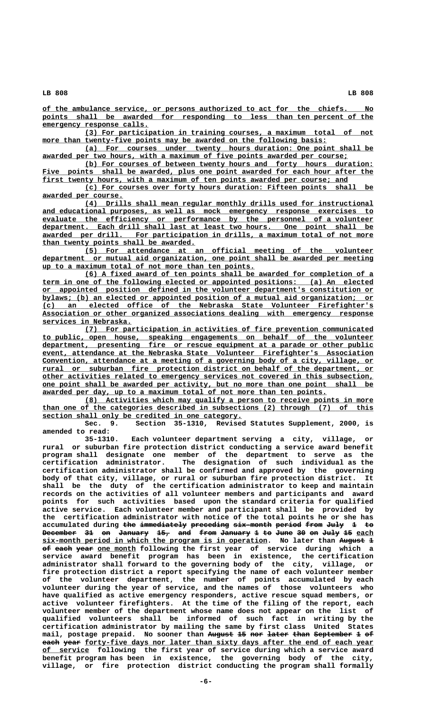**\_\_\_\_\_\_\_\_\_\_\_\_\_\_\_\_\_\_\_\_\_\_\_\_\_\_\_\_\_\_\_\_\_\_\_\_\_\_\_\_\_\_\_\_\_\_\_\_\_\_\_\_\_\_\_\_\_\_\_\_\_\_\_\_\_\_\_\_\_\_\_\_\_\_\_\_\_\_ of the ambulance service, or persons authorized to act for the chiefs. No \_\_\_\_\_\_\_\_\_\_\_\_\_\_\_\_\_\_\_\_\_\_\_\_\_\_\_\_\_\_\_\_\_\_\_\_\_\_\_\_\_\_\_\_\_\_\_\_\_\_\_\_\_\_\_\_\_\_\_\_\_\_\_\_\_\_\_\_\_\_\_\_\_\_\_\_\_\_ points shall be awarded for responding to less than ten percent of the \_\_\_\_\_\_\_\_\_\_\_\_\_\_\_\_\_\_\_\_\_\_\_\_\_ emergency response calls.**

 **\_\_\_\_\_\_\_\_\_\_\_\_\_\_\_\_\_\_\_\_\_\_\_\_\_\_\_\_\_\_\_\_\_\_\_\_\_\_\_\_\_\_\_\_\_\_\_\_\_\_\_\_\_\_\_\_\_\_\_\_\_\_\_\_\_\_\_\_ (3) For participation in training courses, a maximum total of not** more than twenty-five points may be awarded on the following basis:

 **\_\_\_\_\_\_\_\_\_\_\_\_\_\_\_\_\_\_\_\_\_\_\_\_\_\_\_\_\_\_\_\_\_\_\_\_\_\_\_\_\_\_\_\_\_\_\_\_\_\_\_\_\_\_\_\_\_\_\_\_\_\_\_\_\_\_\_\_ (a) For courses under twenty hours duration: One point shall be** awarded per two hours, with a maximum of five points awarded per course;

 **\_\_\_\_\_\_\_\_\_\_\_\_\_\_\_\_\_\_\_\_\_\_\_\_\_\_\_\_\_\_\_\_\_\_\_\_\_\_\_\_\_\_\_\_\_\_\_\_\_\_\_\_\_\_\_\_\_\_\_\_\_\_\_\_\_\_\_\_ (b) For courses of between twenty hours and forty hours duration:** Five points shall be awarded, plus one point awarded for each hour after the first twenty hours, with a maximum of ten points awarded per course; and

 **\_\_\_\_\_\_\_\_\_\_\_\_\_\_\_\_\_\_\_\_\_\_\_\_\_\_\_\_\_\_\_\_\_\_\_\_\_\_\_\_\_\_\_\_\_\_\_\_\_\_\_\_\_\_\_\_\_\_\_\_\_\_\_\_\_\_\_\_ (c) For courses over forty hours duration: Fifteen points shall be \_\_\_\_\_\_\_\_\_\_\_\_\_\_\_\_\_\_\_ awarded per course.**

 **\_\_\_\_\_\_\_\_\_\_\_\_\_\_\_\_\_\_\_\_\_\_\_\_\_\_\_\_\_\_\_\_\_\_\_\_\_\_\_\_\_\_\_\_\_\_\_\_\_\_\_\_\_\_\_\_\_\_\_\_\_\_\_\_\_\_\_\_ (4) Drills shall mean regular monthly drills used for instructional \_\_\_\_\_\_\_\_\_\_\_\_\_\_\_\_\_\_\_\_\_\_\_\_\_\_\_\_\_\_\_\_\_\_\_\_\_\_\_\_\_\_\_\_\_\_\_\_\_\_\_\_\_\_\_\_\_\_\_\_\_\_\_\_\_\_\_\_\_\_\_\_\_\_\_\_\_\_ and educational purposes, as well as mock emergency response exercises to \_\_\_\_\_\_\_\_\_\_\_\_\_\_\_\_\_\_\_\_\_\_\_\_\_\_\_\_\_\_\_\_\_\_\_\_\_\_\_\_\_\_\_\_\_\_\_\_\_\_\_\_\_\_\_\_\_\_\_\_\_\_\_\_\_\_\_\_\_\_\_\_\_\_\_\_\_\_ evaluate the efficiency or performance by the personnel of a volunteer \_\_\_\_\_\_\_\_\_\_\_\_\_\_\_\_\_\_\_\_\_\_\_\_\_\_\_\_\_\_\_\_\_\_\_\_\_\_\_\_\_\_\_\_\_\_\_\_\_\_\_\_\_\_\_\_\_\_\_\_\_\_\_\_\_\_\_\_\_\_\_\_\_\_\_\_\_\_ department. Each drill shall last at least two hours. One point shall be \_\_\_\_\_\_\_\_\_\_\_\_\_\_\_\_\_\_\_\_\_\_\_\_\_\_\_\_\_\_\_\_\_\_\_\_\_\_\_\_\_\_\_\_\_\_\_\_\_\_\_\_\_\_\_\_\_\_\_\_\_\_\_\_\_\_\_\_\_\_\_\_\_\_\_\_\_\_ awarded per drill. For participation in drills, a maximum total of not more \_\_\_\_\_\_\_\_\_\_\_\_\_\_\_\_\_\_\_\_\_\_\_\_\_\_\_\_\_\_\_\_\_\_\_\_ than twenty points shall be awarded.**

 **\_\_\_\_\_\_\_\_\_\_\_\_\_\_\_\_\_\_\_\_\_\_\_\_\_\_\_\_\_\_\_\_\_\_\_\_\_\_\_\_\_\_\_\_\_\_\_\_\_\_\_\_\_\_\_\_\_\_\_\_\_\_\_\_\_\_\_\_ (5) For attendance at an official meeting of the volunteer \_\_\_\_\_\_\_\_\_\_\_\_\_\_\_\_\_\_\_\_\_\_\_\_\_\_\_\_\_\_\_\_\_\_\_\_\_\_\_\_\_\_\_\_\_\_\_\_\_\_\_\_\_\_\_\_\_\_\_\_\_\_\_\_\_\_\_\_\_\_\_\_\_\_\_\_\_\_ department or mutual aid organization, one point shall be awarded per meeting \_\_\_\_\_\_\_\_\_\_\_\_\_\_\_\_\_\_\_\_\_\_\_\_\_\_\_\_\_\_\_\_\_\_\_\_\_\_\_\_\_\_\_\_\_\_\_\_\_\_ up to a maximum total of not more than ten points.**

 **\_\_\_\_\_\_\_\_\_\_\_\_\_\_\_\_\_\_\_\_\_\_\_\_\_\_\_\_\_\_\_\_\_\_\_\_\_\_\_\_\_\_\_\_\_\_\_\_\_\_\_\_\_\_\_\_\_\_\_\_\_\_\_\_\_\_\_\_ (6) A fixed award of ten points shall be awarded for completion of a \_\_\_\_\_\_\_\_\_\_\_\_\_\_\_\_\_\_\_\_\_\_\_\_\_\_\_\_\_\_\_\_\_\_\_\_\_\_\_\_\_\_\_\_\_\_\_\_\_\_\_\_\_\_\_\_\_\_\_\_\_\_\_\_\_\_\_\_\_\_\_\_\_\_\_\_\_\_ term in one of the following elected or appointed positions: (a) An elected \_\_\_\_\_\_\_\_\_\_\_\_\_\_\_\_\_\_\_\_\_\_\_\_\_\_\_\_\_\_\_\_\_\_\_\_\_\_\_\_\_\_\_\_\_\_\_\_\_\_\_\_\_\_\_\_\_\_\_\_\_\_\_\_\_\_\_\_\_\_\_\_\_\_\_\_\_\_ or appointed position defined in the volunteer department's constitution or \_\_\_\_\_\_\_\_\_\_\_\_\_\_\_\_\_\_\_\_\_\_\_\_\_\_\_\_\_\_\_\_\_\_\_\_\_\_\_\_\_\_\_\_\_\_\_\_\_\_\_\_\_\_\_\_\_\_\_\_\_\_\_\_\_\_\_\_\_\_\_\_\_\_\_\_\_\_ bylaws; (b) an elected or appointed position of a mutual aid organization; or \_\_\_\_\_\_\_\_\_\_\_\_\_\_\_\_\_\_\_\_\_\_\_\_\_\_\_\_\_\_\_\_\_\_\_\_\_\_\_\_\_\_\_\_\_\_\_\_\_\_\_\_\_\_\_\_\_\_\_\_\_\_\_\_\_\_\_\_\_\_\_\_\_\_\_\_\_\_ (c) an elected office of the Nebraska State Volunteer Firefighter's \_\_\_\_\_\_\_\_\_\_\_\_\_\_\_\_\_\_\_\_\_\_\_\_\_\_\_\_\_\_\_\_\_\_\_\_\_\_\_\_\_\_\_\_\_\_\_\_\_\_\_\_\_\_\_\_\_\_\_\_\_\_\_\_\_\_\_\_\_\_\_\_\_\_\_\_\_\_ Association or other organized associations dealing with emergency response \_\_\_\_\_\_\_\_\_\_\_\_\_\_\_\_\_\_\_\_\_ services in Nebraska.**

 **\_\_\_\_\_\_\_\_\_\_\_\_\_\_\_\_\_\_\_\_\_\_\_\_\_\_\_\_\_\_\_\_\_\_\_\_\_\_\_\_\_\_\_\_\_\_\_\_\_\_\_\_\_\_\_\_\_\_\_\_\_\_\_\_\_\_\_\_ (7) For participation in activities of fire prevention communicated \_\_\_\_\_\_\_\_\_\_\_\_\_\_\_\_\_\_\_\_\_\_\_\_\_\_\_\_\_\_\_\_\_\_\_\_\_\_\_\_\_\_\_\_\_\_\_\_\_\_\_\_\_\_\_\_\_\_\_\_\_\_\_\_\_\_\_\_\_\_\_\_\_\_\_\_\_\_ to public, open house, speaking engagements on behalf of the volunteer \_\_\_\_\_\_\_\_\_\_\_\_\_\_\_\_\_\_\_\_\_\_\_\_\_\_\_\_\_\_\_\_\_\_\_\_\_\_\_\_\_\_\_\_\_\_\_\_\_\_\_\_\_\_\_\_\_\_\_\_\_\_\_\_\_\_\_\_\_\_\_\_\_\_\_\_\_\_ department, presenting fire or rescue equipment at a parade or other public \_\_\_\_\_\_\_\_\_\_\_\_\_\_\_\_\_\_\_\_\_\_\_\_\_\_\_\_\_\_\_\_\_\_\_\_\_\_\_\_\_\_\_\_\_\_\_\_\_\_\_\_\_\_\_\_\_\_\_\_\_\_\_\_\_\_\_\_\_\_\_\_\_\_\_\_\_\_ event, attendance at the Nebraska State Volunteer Firefighter's Association \_\_\_\_\_\_\_\_\_\_\_\_\_\_\_\_\_\_\_\_\_\_\_\_\_\_\_\_\_\_\_\_\_\_\_\_\_\_\_\_\_\_\_\_\_\_\_\_\_\_\_\_\_\_\_\_\_\_\_\_\_\_\_\_\_\_\_\_\_\_\_\_\_\_\_\_\_\_ Convention, attendance at a meeting of a governing body of a city, village, or \_\_\_\_\_\_\_\_\_\_\_\_\_\_\_\_\_\_\_\_\_\_\_\_\_\_\_\_\_\_\_\_\_\_\_\_\_\_\_\_\_\_\_\_\_\_\_\_\_\_\_\_\_\_\_\_\_\_\_\_\_\_\_\_\_\_\_\_\_\_\_\_\_\_\_\_\_\_ rural or suburban fire protection district on behalf of the department, or \_\_\_\_\_\_\_\_\_\_\_\_\_\_\_\_\_\_\_\_\_\_\_\_\_\_\_\_\_\_\_\_\_\_\_\_\_\_\_\_\_\_\_\_\_\_\_\_\_\_\_\_\_\_\_\_\_\_\_\_\_\_\_\_\_\_\_\_\_\_\_\_\_\_\_\_\_\_ other activities related to emergency services not covered in this subsection, \_\_\_\_\_\_\_\_\_\_\_\_\_\_\_\_\_\_\_\_\_\_\_\_\_\_\_\_\_\_\_\_\_\_\_\_\_\_\_\_\_\_\_\_\_\_\_\_\_\_\_\_\_\_\_\_\_\_\_\_\_\_\_\_\_\_\_\_\_\_\_\_\_\_\_\_\_\_ one point shall be awarded per activity, but no more than one point shall be** awarded per day, up to a maximum total of not more than ten points.

 **\_\_\_\_\_\_\_\_\_\_\_\_\_\_\_\_\_\_\_\_\_\_\_\_\_\_\_\_\_\_\_\_\_\_\_\_\_\_\_\_\_\_\_\_\_\_\_\_\_\_\_\_\_\_\_\_\_\_\_\_\_\_\_\_\_\_\_\_ (8) Activities which may qualify a person to receive points in more \_\_\_\_\_\_\_\_\_\_\_\_\_\_\_\_\_\_\_\_\_\_\_\_\_\_\_\_\_\_\_\_\_\_\_\_\_\_\_\_\_\_\_\_\_\_\_\_\_\_\_\_\_\_\_\_\_\_\_\_\_\_\_\_\_\_\_\_\_\_\_\_\_\_\_\_\_\_ than one of the categories described in subsections (2) through (7) of this section shall only be credited in one category.**<br>Sec. 9. Section 35-1310, Revise

Section 35-1310, Revised Statutes Supplement, 2000, is **amended to read:**

**35-1310. Each volunteer department serving a city, village, or rural or suburban fire protection district conducting a service award benefit program shall designate one member of the department to serve as the certification administrator. The designation of such individual as the certification administrator shall be confirmed and approved by the governing body of that city, village, or rural or suburban fire protection district. It shall be the duty of the certification administrator to keep and maintain records on the activities of all volunteer members and participants and award points for such activities based upon the standard criteria for qualified active service. Each volunteer member and participant shall be provided by the certification administrator with notice of the total points he or she has** accumulated during the immediately preceding six month period from July 1 to **December** 31 on January 15, and from January 1 to June 30 on July 15 each  $s$ ix-month period in which the program is in operation. No later than August 1 **of each year one month following the first year of service during which a —— ———— ———— \_\_\_\_\_\_\_\_\_ service award benefit program has been in existence, the certification administrator shall forward to the governing body of the city, village, or fire protection district a report specifying the name of each volunteer member of the volunteer department, the number of points accumulated by each volunteer during the year of service, and the names of those volunteers who have qualified as active emergency responders, active rescue squad members, or active volunteer firefighters. At the time of the filing of the report, each volunteer member of the department whose name does not appear on the list of qualified volunteers shall be informed of such fact in writing by the certification administrator by mailing the same by first class United States**  $mail, postage prepaid. No sooner than ~~August 15 nor later than September 1 of~~$ **each year forty-five days nor later than sixty days after the end of each year \_\_\_\_\_\_\_\_\_\_\_ of service following the first year of service during which a service award benefit program has been in existence, the governing body of the city, village, or fire protection district conducting the program shall formally**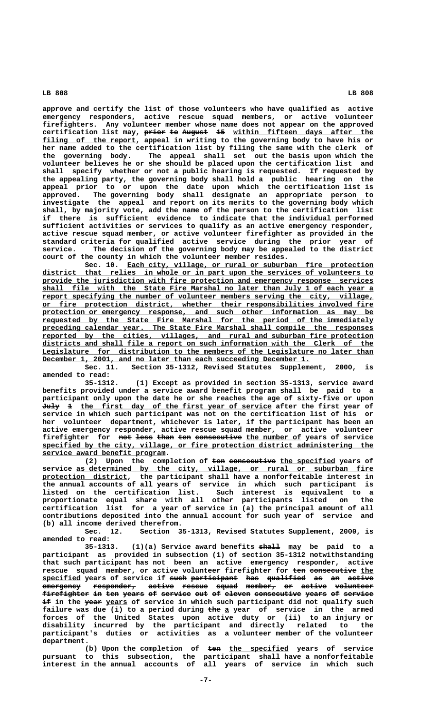**approve and certify the list of those volunteers who have qualified as active emergency responders, active rescue squad members, or active volunteer firefighters. Any volunteer member whose name does not appear on the approved** certification list may, prior to August 15 within fifteen days after the filing of the report, appeal in writing to the governing body to have his or **her name added to the certification list by filing the same with the clerk of the governing body. The appeal shall set out the basis upon which the volunteer believes he or she should be placed upon the certification list and shall specify whether or not a public hearing is requested. If requested by the appealing party, the governing body shall hold a public hearing on the appeal prior to or upon the date upon which the certification list is approved. The governing body shall designate an appropriate person to investigate the appeal and report on its merits to the governing body which shall, by majority vote, add the name of the person to the certification list if there is sufficient evidence to indicate that the individual performed sufficient activities or services to qualify as an active emergency responder, active rescue squad member, or active volunteer firefighter as provided in the standard criteria for qualified active service during the prior year of service. The decision of the governing body may be appealed to the district court of the county in which the volunteer member resides.**

Sec. 10. Each city, village, or rural or suburban fire protection  **\_\_\_\_\_\_\_\_\_\_\_\_\_\_\_\_\_\_\_\_\_\_\_\_\_\_\_\_\_\_\_\_\_\_\_\_\_\_\_\_\_\_\_\_\_\_\_\_\_\_\_\_\_\_\_\_\_\_\_\_\_\_\_\_\_\_\_\_\_\_\_\_\_\_\_\_\_\_ district that relies in whole or in part upon the services of volunteers to \_\_\_\_\_\_\_\_\_\_\_\_\_\_\_\_\_\_\_\_\_\_\_\_\_\_\_\_\_\_\_\_\_\_\_\_\_\_\_\_\_\_\_\_\_\_\_\_\_\_\_\_\_\_\_\_\_\_\_\_\_\_\_\_\_\_\_\_\_\_\_\_\_\_\_\_\_\_ provide the jurisdiction with fire protection and emergency response services \_\_\_\_\_\_\_\_\_\_\_\_\_\_\_\_\_\_\_\_\_\_\_\_\_\_\_\_\_\_\_\_\_\_\_\_\_\_\_\_\_\_\_\_\_\_\_\_\_\_\_\_\_\_\_\_\_\_\_\_\_\_\_\_\_\_\_\_\_\_\_\_\_\_\_\_\_\_ shall file with the State Fire Marshal no later than July 1 of each year a \_\_\_\_\_\_\_\_\_\_\_\_\_\_\_\_\_\_\_\_\_\_\_\_\_\_\_\_\_\_\_\_\_\_\_\_\_\_\_\_\_\_\_\_\_\_\_\_\_\_\_\_\_\_\_\_\_\_\_\_\_\_\_\_\_\_\_\_\_\_\_\_\_\_\_\_\_\_ report specifying the number of volunteer members serving the city, village, \_\_\_\_\_\_\_\_\_\_\_\_\_\_\_\_\_\_\_\_\_\_\_\_\_\_\_\_\_\_\_\_\_\_\_\_\_\_\_\_\_\_\_\_\_\_\_\_\_\_\_\_\_\_\_\_\_\_\_\_\_\_\_\_\_\_\_\_\_\_\_\_\_\_\_\_\_\_ or fire protection district, whether their responsibilities involved fire \_\_\_\_\_\_\_\_\_\_\_\_\_\_\_\_\_\_\_\_\_\_\_\_\_\_\_\_\_\_\_\_\_\_\_\_\_\_\_\_\_\_\_\_\_\_\_\_\_\_\_\_\_\_\_\_\_\_\_\_\_\_\_\_\_\_\_\_\_\_\_\_\_\_\_\_\_\_ protection or emergency response, and such other information as may be \_\_\_\_\_\_\_\_\_\_\_\_\_\_\_\_\_\_\_\_\_\_\_\_\_\_\_\_\_\_\_\_\_\_\_\_\_\_\_\_\_\_\_\_\_\_\_\_\_\_\_\_\_\_\_\_\_\_\_\_\_\_\_\_\_\_\_\_\_\_\_\_\_\_\_\_\_\_ requested by the State Fire Marshal for the period of the immediately \_\_\_\_\_\_\_\_\_\_\_\_\_\_\_\_\_\_\_\_\_\_\_\_\_\_\_\_\_\_\_\_\_\_\_\_\_\_\_\_\_\_\_\_\_\_\_\_\_\_\_\_\_\_\_\_\_\_\_\_\_\_\_\_\_\_\_\_\_\_\_\_\_\_\_\_\_\_ preceding calendar year. The State Fire Marshal shall compile the responses**  $reported by the cities, vilages, and rural and suburban fire protection$ </u>  **\_\_\_\_\_\_\_\_\_\_\_\_\_\_\_\_\_\_\_\_\_\_\_\_\_\_\_\_\_\_\_\_\_\_\_\_\_\_\_\_\_\_\_\_\_\_\_\_\_\_\_\_\_\_\_\_\_\_\_\_\_\_\_\_\_\_\_\_\_\_\_\_\_\_\_\_\_\_ districts and shall file a report on such information with the Clerk of the \_\_\_\_\_\_\_\_\_\_\_\_\_\_\_\_\_\_\_\_\_\_\_\_\_\_\_\_\_\_\_\_\_\_\_\_\_\_\_\_\_\_\_\_\_\_\_\_\_\_\_\_\_\_\_\_\_\_\_\_\_\_\_\_\_\_\_\_\_\_\_\_\_\_\_\_\_\_ Legislature for distribution to the members of the Legislature no later than** December 1, 2001, and no later than each succeeding December 1.

**Sec. 11. Section 35-1312, Revised Statutes Supplement, 2000, is amended to read:**

**35-1312. (1) Except as provided in section 35-1313, service award benefits provided under a service award benefit program shall be paid to a participant only upon the date he or she reaches the age of sixty-five or upon** July 1 the first day of the first year of service after the first year of **service in which such participant was not on the certification list of his or her volunteer department, whichever is later, if the participant has been an active emergency responder, active rescue squad member, or active volunteer** firefighter for not less than ten consecutive the number of years of service  **\_\_\_\_\_\_\_\_\_\_\_\_\_\_\_\_\_\_\_\_\_\_\_\_\_\_\_\_\_\_\_\_\_\_\_\_\_\_\_\_\_\_\_\_\_\_\_\_\_\_\_\_\_\_\_\_\_\_\_\_\_\_\_\_\_\_\_\_\_\_\_\_\_\_\_\_\_\_ specified by the city, village, or fire protection district administering the \_\_\_\_\_\_\_\_\_\_\_\_\_\_\_\_\_\_\_\_\_\_\_\_\_\_\_\_\_ service award benefit program.**

(2) Upon the completion of ten consecutive the specified years of service as determined by the city, village, or rural or suburban fire  **\_\_\_\_\_\_\_\_\_\_\_\_\_\_\_\_\_\_\_\_ protection district, the participant shall have a nonforfeitable interest in the annual accounts of all years of service in which such participant is listed on the certification list. Such interest is equivalent to a proportionate equal share with all other participants listed on the certification list for a year of service in (a) the principal amount of all contributions deposited into the annual account for such year of service and (b) all income derived therefrom.**

**Sec. 12. Section 35-1313, Revised Statutes Supplement, 2000, is amended to read:**

35-1313. (1)(a) Service award benefits  $\frac{1}{2}$  may be paid to a **participant as provided in subsection (1) of section 35-1312 notwithstanding that such participant has not been an active emergency responder, active** rescue squad member, or active volunteer firefighter for ten consecutive the **specified years of service if such participant has qualified as an active \_\_\_\_\_\_\_\_\_ ———— ——————————— ——— ————————— —— —— ————— emergency responder, active rescue squad member, or active volunteer ————————— —————————— —————— —————— ————— ——————— —— —————— ———————— firefighter in ten years of service out of eleven consecutive years of service ——————————— —— ——— ————— —— ——————— ——— —— —————— ——————————— ————— —— ———————**  $\pm$  in the year years of service in which such participant did not qualify such failure was due (i) to a period during the a year of service in the armed **forces of the United States upon active duty or (ii) to an injury or disability incurred by the participant and directly related to the participant's duties or activities as a volunteer member of the volunteer department.**

(b) Upon the completion of ten the specified years of service **pursuant to this subsection, the participant shall have a nonforfeitable interest in the annual accounts of all years of service in which such**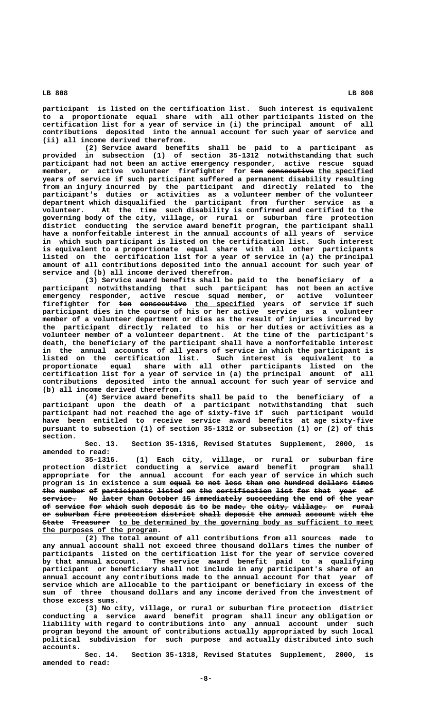**participant is listed on the certification list. Such interest is equivalent to a proportionate equal share with all other participants listed on the certification list for a year of service in (i) the principal amount of all contributions deposited into the annual account for such year of service and**

**(ii) all income derived therefrom. (2) Service award benefits shall be paid to a participant as provided in subsection (1) of section 35-1312 notwithstanding that such participant had not been an active emergency responder, active rescue squad** member, or active volunteer firefighter for ten consecutive the specified **years of service if such participant suffered a permanent disability resulting from an injury incurred by the participant and directly related to the participant's duties or activities as a volunteer member of the volunteer department which disqualified the participant from further service as a volunteer. At the time such disability is confirmed and certified to the governing body of the city, village, or rural or suburban fire protection district conducting the service award benefit program, the participant shall have a nonforfeitable interest in the annual accounts of all years of service in which such participant is listed on the certification list. Such interest is equivalent to a proportionate equal share with all other participants listed on the certification list for a year of service in (a) the principal amount of all contributions deposited into the annual account for such year of service and (b) all income derived therefrom.**

**(3) Service award benefits shall be paid to the beneficiary of a participant notwithstanding that such participant has not been an active emergency responder, active rescue squad member, or active volunteer firefighter for ten consecutive the specified years of service if such ——— ——————————— \_\_\_\_\_\_\_\_\_\_\_\_\_\_ participant dies in the course of his or her active service as a volunteer member of a volunteer department or dies as the result of injuries incurred by the participant directly related to his or her duties or activities as a volunteer member of a volunteer department. At the time of the participant's death, the beneficiary of the participant shall have a nonforfeitable interest in the annual accounts of all years of service in which the participant is listed on the certification list. Such interest is equivalent to a proportionate equal share with all other participants listed on the certification list for a year of service in (a) the principal amount of all contributions deposited into the annual account for such year of service and (b) all income derived therefrom.**

**(4) Service award benefits shall be paid to the beneficiary of a participant upon the death of a participant notwithstanding that such participant had not reached the age of sixty-five if such participant would have been entitled to receive service award benefits at age sixty-five pursuant to subsection (1) of section 35-1312 or subsection (1) or (2) of this section.**

**Sec. 13. Section 35-1316, Revised Statutes Supplement, 2000, is amended to read:**

**35-1316. (1) Each city, village, or rural or suburban fire protection district conducting a service award benefit program shall appropriate for the annual account for each year of service in which such program is in existence a sum equal to not less than one hundred dollars times ————— —— ——— ———— ———— ——— ——————— ——————— ————** the number of participants listed on the certification list for that year of service. No later than October 15 immediately succeeding the end of the year of service for which such deposit is to be made, the city, village, or rural or suburban fire protection district shall deposit the annual account with the  $S$ tate Treasurer to be determined by the governing body as sufficient to meet  **\_\_\_\_\_\_\_\_\_\_\_\_\_\_\_\_\_\_\_\_\_\_\_\_\_\_\_ the purposes of the program.**

**(2) The total amount of all contributions from all sources made to any annual account shall not exceed three thousand dollars times the number of participants listed on the certification list for the year of service covered by that annual account. The service award benefit paid to a qualifying participant or beneficiary shall not include in any participant's share of an annual account any contributions made to the annual account for that year of service which are allocable to the participant or beneficiary in excess of the sum of three thousand dollars and any income derived from the investment of those excess sums.**

**(3) No city, village, or rural or suburban fire protection district conducting a service award benefit program shall incur any obligation or liability with regard to contributions into any annual account under such program beyond the amount of contributions actually appropriated by such local political subdivision for such purpose and actually distributed into such accounts.**

**Sec. 14. Section 35-1318, Revised Statutes Supplement, 2000, is amended to read:**

 **LB 808 LB 808**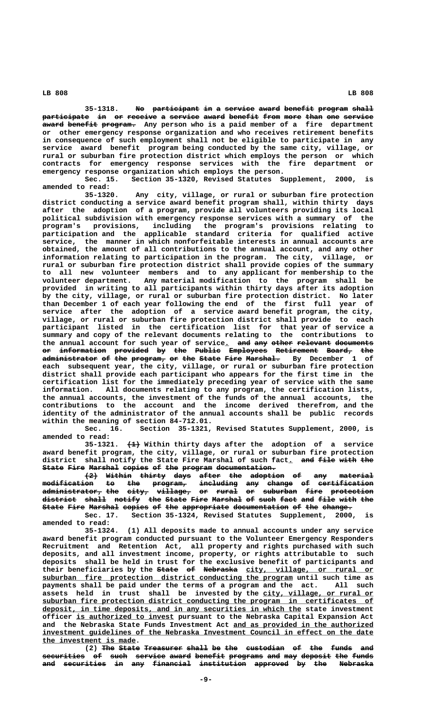35-1318. No participant in a service award benefit program shall

participate in or receive a service award benefit from more than one service  $a$ ward benefit program. Any person who is a paid member of a fire department **or other emergency response organization and who receives retirement benefits in consequence of such employment shall not be eligible to participate in any service award benefit program being conducted by the same city, village, or rural or suburban fire protection district which employs the person or which contracts for emergency response services with the fire department or emergency response organization which employs the person.**

**Sec. 15. Section 35-1320, Revised Statutes Supplement, 2000, is amended to read:**

**35-1320. Any city, village, or rural or suburban fire protection district conducting a service award benefit program shall, within thirty days after the adoption of a program, provide all volunteers providing its local political subdivision with emergency response services with a summary of the program's provisions, including the program's provisions relating to participation and the applicable standard criteria for qualified active service, the manner in which nonforfeitable interests in annual accounts are obtained, the amount of all contributions to the annual account, and any other information relating to participation in the program. The city, village, or rural or suburban fire protection district shall provide copies of the summary to all new volunteer members and to any applicant for membership to the volunteer department. Any material modification to the program shall be provided in writing to all participants within thirty days after its adoption by the city, village, or rural or suburban fire protection district. No later than December 1 of each year following the end of the first full year of service after the adoption of a service award benefit program, the city, village, or rural or suburban fire protection district shall provide to each participant listed in the certification list for that year of service a summary and copy of the relevant documents relating to the contributions to** the annual account for such year of service<sub>.</sub> and any other relevant documents **or information provided by the Public Employees Retirement Board, the —— ——————————— ———————— —— ——— —————— ————————— —————————— —————— —— administrator of the program, or the State Fire Marshal. By December 1 of ————————————— —— ——— ———————— —— ——— ————— ———— ——————— each subsequent year, the city, village, or rural or suburban fire protection district shall provide each participant who appears for the first time in the certification list for the immediately preceding year of service with the same information. All documents relating to any program, the certification lists, the annual accounts, the investment of the funds of the annual accounts, the contributions to the account and the income derived therefrom, and the identity of the administrator of the annual accounts shall be public records within the meaning of section 84-712.01.**

Section 35-1321, Revised Statutes Supplement, 2000, is **amended to read:**

 **——— 35-1321. (1) Within thirty days after the adoption of a service award benefit program, the city, village, or rural or suburban fire protection** district shall notify the State Fire Marshal of such fact<u>.</u> <del>and file with the</del> State Fire Marshal copies of the program documentation.

**(2) Within thirty days after the adoption of any material ——— —————— —————— ———— ————— ——— ———————— —— ——— ——————— modification to the program, including any change of certification ———————————— —— ——— ———————— ————————— ——— —————— —— ———————————— administrator, the city, village, or rural or suburban fire protection —————————————— ——— ————— ———————— —— ————— —— ———————— ———— ————————— district shall notify the State Fire Marshal of such fact and file with the ———————— ————— —————— ——— ————— ———— ——————— —— ———— ———— ——— ———— ———— ——— State Fire Marshal copies of the appropriate documentation of the change.**<br>**2000** Sec. 17. Section 35-1324, Revised Statutes Supplement, 2000

Section 35-1324, Revised Statutes Supplement, 2000, is **amended to read:**

**35-1324. (1) All deposits made to annual accounts under any service award benefit program conducted pursuant to the Volunteer Emergency Responders Recruitment and Retention Act, all property and rights purchased with such deposits, and all investment income, property, or rights attributable to such deposits shall be held in trust for the exclusive benefit of participants and** their beneficiaries by the state of Nebraska city, village, or rural or  **\_\_\_\_\_\_\_\_\_\_\_\_\_\_\_\_\_\_\_\_\_\_\_\_\_\_\_\_\_\_\_\_\_\_\_\_\_\_\_\_\_\_\_\_\_\_\_\_\_\_\_\_\_\_\_\_\_\_\_ suburban fire protection district conducting the program until such time as payments shall be paid under the terms of a program and the act. All such** assets held in trust shall be invested by the city, village, or rural or  **\_\_\_\_\_\_\_\_\_\_\_\_\_\_\_\_\_\_\_\_\_\_\_\_\_\_\_\_\_\_\_\_\_\_\_\_\_\_\_\_\_\_\_\_\_\_\_\_\_\_\_\_\_\_\_\_\_\_\_\_\_\_\_\_\_\_\_\_\_\_\_\_\_\_\_\_\_\_ suburban fire protection district conducting the program in certificates of \_\_\_\_\_\_\_\_\_\_\_\_\_\_\_\_\_\_\_\_\_\_\_\_\_\_\_\_\_\_\_\_\_\_\_\_\_\_\_\_\_\_\_\_\_\_\_\_\_\_\_\_\_\_\_\_\_\_\_\_\_ deposit, in time deposits, and in any securities in which the state investment** officer is authorized to invest pursuant to the Nebraska Capital Expansion Act and the Nebraska State Funds Investment Act and as provided in the authorized  **\_\_\_\_\_\_\_\_\_\_\_\_\_\_\_\_\_\_\_\_\_\_\_\_\_\_\_\_\_\_\_\_\_\_\_\_\_\_\_\_\_\_\_\_\_\_\_\_\_\_\_\_\_\_\_\_\_\_\_\_\_\_\_\_\_\_\_\_\_\_\_\_\_\_\_\_\_\_ investment guidelines of the Nebraska Investment Council in effect on the date \_\_\_\_\_\_\_\_\_\_\_\_\_\_\_\_\_\_\_\_\_\_ the investment is made.**

**(2)** The State Treasurer shall be the custodian of the funds and  $securities$  of such service award benefit programs and may deposit the funds and securities in any financial institution approved by the Nebraska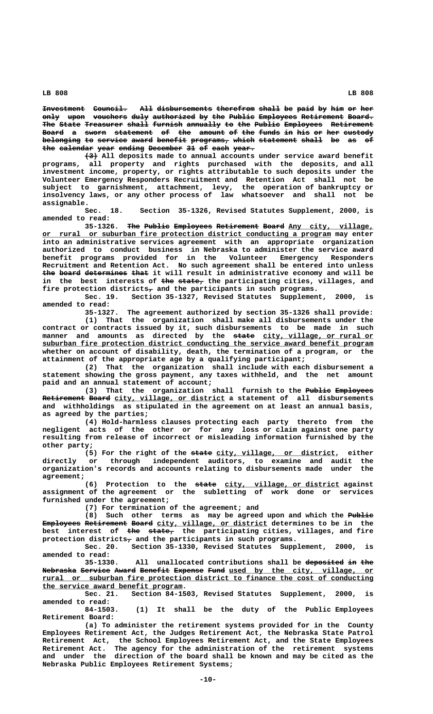**Investment** Council. All disbursements therefrom shall be paid by him or her only upon vouchers duly authorized by the Public Employees Retirement Board. The State Treasurer shall furnish annually to the Public Employees Retirement Board a sworn statement of the amount of the funds in his or her custody belonging to service award benefit programs, which statement shall be as of the calendar year ending December 31 of each year.

 **——— (3) All deposits made to annual accounts under service award benefit programs, all property and rights purchased with the deposits, and all investment income, property, or rights attributable to such deposits under the Volunteer Emergency Responders Recruitment and Retention Act shall not be subject to garnishment, attachment, levy, the operation of bankruptcy or insolvency laws, or any other process of law whatsoever and shall not be assignable.**

**Sec. 18. Section 35-1326, Revised Statutes Supplement, 2000, is amended to read:**

35-1326. The Public Employees Retirement Board Any city, village,  **\_\_\_\_\_\_\_\_\_\_\_\_\_\_\_\_\_\_\_\_\_\_\_\_\_\_\_\_\_\_\_\_\_\_\_\_\_\_\_\_\_\_\_\_\_\_\_\_\_\_\_\_\_\_\_\_\_\_\_\_\_\_\_\_\_\_\_\_ or rural or suburban fire protection district conducting a program may enter into an administrative services agreement with an appropriate organization authorized to conduct business in Nebraska to administer the service award benefit programs provided for in the Volunteer Emergency Responders Recruitment and Retention Act. No such agreement shall be entered into unless** the board determines that it will result in administrative economy and will be in the best interests of the state<sub>r</sub> the participating cities, villages, and fire protection districts<sub> $\tau$ </sub> and the participants in such programs.

**Sec. 19. Section 35-1327, Revised Statutes Supplement, 2000, is amended to read:**

**35-1327. The agreement authorized by section 35-1326 shall provide:**

**(1) That the organization shall make all disbursements under the contract or contracts issued by it, such disbursements to be made in such** manner and amounts as directed by the <del>state</del> city, village, or\_rural\_or  **\_\_\_\_\_\_\_\_\_\_\_\_\_\_\_\_\_\_\_\_\_\_\_\_\_\_\_\_\_\_\_\_\_\_\_\_\_\_\_\_\_\_\_\_\_\_\_\_\_\_\_\_\_\_\_\_\_\_\_\_\_\_\_\_\_\_\_\_\_\_\_\_\_\_\_\_\_\_ suburban fire protection district conducting the service award benefit program whether on account of disability, death, the termination of a program, or the attainment of the appropriate age by a qualifying participant;**

**(2) That the organization shall include with each disbursement a statement showing the gross payment, any taxes withheld, and the net amount paid and an annual statement of account;**

(3) That the organization shall furnish to the Public Employees **Retirement Board** city, village, or district a statement of all disbursements **and withholdings as stipulated in the agreement on at least an annual basis, as agreed by the parties;**

**(4) Hold-harmless clauses protecting each party thereto from the negligent acts of the other or for any loss or claim against one party resulting from release of incorrect or misleading information furnished by the other party;**

(5) For the right of the state city, village, or district, either **directly or through independent auditors, to examine and audit the organization's records and accounts relating to disbursements made under the agreement;**

(6) Protection to the state city, village, or district against **assignment of the agreement or the subletting of work done or services furnished under the agreement;**

**(7) For termination of the agreement; and**

**(8)** Such other terms as may be agreed upon and which the Public **Employees Retirement Board** city, village, or district determines to be in the best interest of <del>the state,</del> the participating cities, villages, and fire protection districts<sub>7</sub> and the participants in such programs.

**Sec. 20. Section 35-1330, Revised Statutes Supplement, 2000, is amended to read:**

**35-1330.** All unallocated contributions shall be deposited in the Nebraska Service Award Benefit Expense Fund used by the city, village, or  **\_\_\_\_\_\_\_\_\_\_\_\_\_\_\_\_\_\_\_\_\_\_\_\_\_\_\_\_\_\_\_\_\_\_\_\_\_\_\_\_\_\_\_\_\_\_\_\_\_\_\_\_\_\_\_\_\_\_\_\_\_\_\_\_\_\_\_\_\_\_\_\_\_\_\_\_\_\_ rural or suburban fire protection district to finance the cost of conducting \_\_\_\_\_\_\_\_\_\_\_\_\_\_\_\_\_\_\_\_\_\_\_\_\_\_\_\_\_\_\_\_\_ the service award benefit program.**

**Sec. 21. Section 84-1503, Revised Statutes Supplement, 2000, is amended to read:**

**84-1503. (1) It shall be the duty of the Public Employees Retirement Board:**

**(a) To administer the retirement systems provided for in the County Employees Retirement Act, the Judges Retirement Act, the Nebraska State Patrol Retirement Act, the School Employees Retirement Act, and the State Employees Retirement Act. The agency for the administration of the retirement systems and under the direction of the board shall be known and may be cited as the Nebraska Public Employees Retirement Systems;**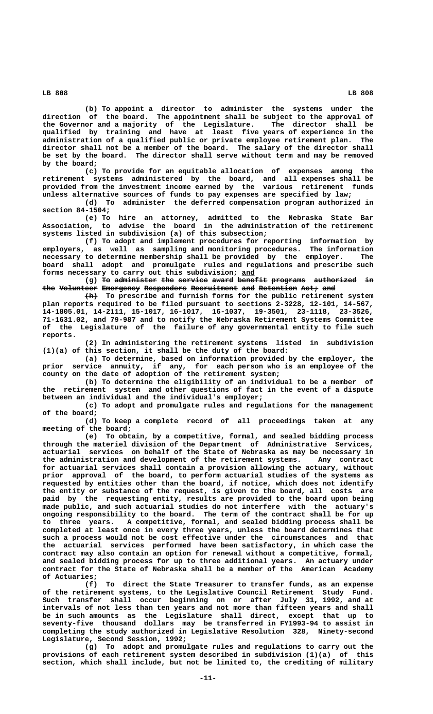**(b) To appoint a director to administer the systems under the direction of the board. The appointment shall be subject to the approval of the Governor and a majority of the Legislature. The director shall be qualified by training and have at least five years of experience in the administration of a qualified public or private employee retirement plan. The director shall not be a member of the board. The salary of the director shall be set by the board. The director shall serve without term and may be removed by the board;**

**(c) To provide for an equitable allocation of expenses among the retirement systems administered by the board, and all expenses shall be provided from the investment income earned by the various retirement funds unless alternative sources of funds to pay expenses are specified by law;**

**(d) To administer the deferred compensation program authorized in section 84-1504;**

**(e) To hire an attorney, admitted to the Nebraska State Bar Association, to advise the board in the administration of the retirement systems listed in subdivision (a) of this subsection;**

**(f) To adopt and implement procedures for reporting information by employers, as well as sampling and monitoring procedures. The information necessary to determine membership shall be provided by the employer. The board shall adopt and promulgate rules and regulations and prescribe such forms necessary to carry out this subdivision; and \_\_\_**

(g) To administer the service award benefit programs authorized in the Volunteer Emergency Responders Recruitment and Retention Act, and

 **——— (h) To prescribe and furnish forms for the public retirement system plan reports required to be filed pursuant to sections 2-3228, 12-101, 14-567, 14-1805.01, 14-2111, 15-1017, 16-1017, 16-1037, 19-3501, 23-1118, 23-3526, 71-1631.02, and 79-987 and to notify the Nebraska Retirement Systems Committee of the Legislature of the failure of any governmental entity to file such reports.**

**(2) In administering the retirement systems listed in subdivision (1)(a) of this section, it shall be the duty of the board:**

**(a) To determine, based on information provided by the employer, the prior service annuity, if any, for each person who is an employee of the county on the date of adoption of the retirement system;**

**(b) To determine the eligibility of an individual to be a member of the retirement system and other questions of fact in the event of a dispute between an individual and the individual's employer;**

**(c) To adopt and promulgate rules and regulations for the management of the board;**

**(d) To keep a complete record of all proceedings taken at any meeting of the board;**

**(e) To obtain, by a competitive, formal, and sealed bidding process through the materiel division of the Department of Administrative Services, actuarial services on behalf of the State of Nebraska as may be necessary in the administration and development of the retirement systems. Any contract for actuarial services shall contain a provision allowing the actuary, without prior approval of the board, to perform actuarial studies of the systems as requested by entities other than the board, if notice, which does not identify the entity or substance of the request, is given to the board, all costs are paid by the requesting entity, results are provided to the board upon being made public, and such actuarial studies do not interfere with the actuary's ongoing responsibility to the board. The term of the contract shall be for up to three years. A competitive, formal, and sealed bidding process shall be completed at least once in every three years, unless the board determines that such a process would not be cost effective under the circumstances and that the actuarial services performed have been satisfactory, in which case the contract may also contain an option for renewal without a competitive, formal, and sealed bidding process for up to three additional years. An actuary under contract for the State of Nebraska shall be a member of the American Academy of Actuaries;**

**(f) To direct the State Treasurer to transfer funds, as an expense of the retirement systems, to the Legislative Council Retirement Study Fund. Such transfer shall occur beginning on or after July 31, 1992, and at intervals of not less than ten years and not more than fifteen years and shall be in such amounts as the Legislature shall direct, except that up to seventy-five thousand dollars may be transferred in FY1993-94 to assist in completing the study authorized in Legislative Resolution 328, Ninety-second Legislature, Second Session, 1992;**

**(g) To adopt and promulgate rules and regulations to carry out the provisions of each retirement system described in subdivision (1)(a) of this section, which shall include, but not be limited to, the crediting of military**

 **LB 808 LB 808**